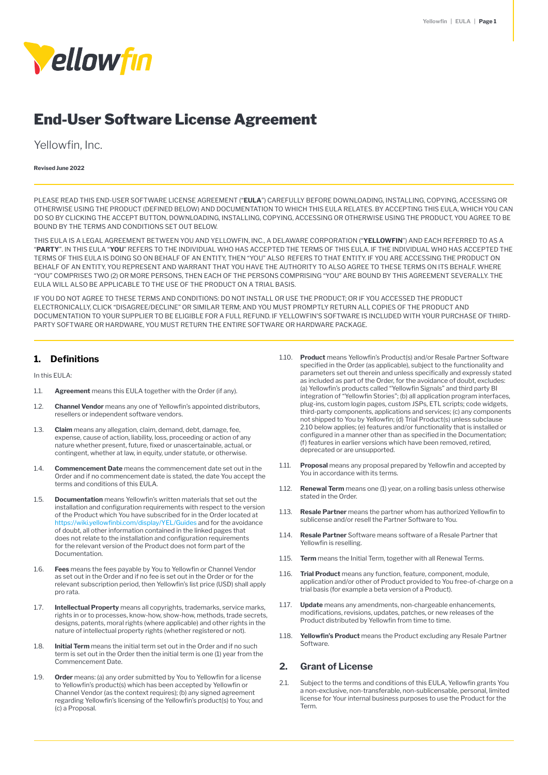

# End-User Software License Agreement

Yellowfin, Inc.

#### **Revised June 2022**

PLEASE READ THIS END-USER SOFTWARE LICENSE AGREEMENT ("**EULA**") CAREFULLY BEFORE DOWNLOADING, INSTALLING, COPYING, ACCESSING OR OTHERWISE USING THE PRODUCT (DEFINED BELOW) AND DOCUMENTATION TO WHICH THIS EULA RELATES. BY ACCEPTING THIS EULA, WHICH YOU CAN DO SO BY CLICKING THE ACCEPT BUTTON, DOWNLOADING, INSTALLING, COPYING, ACCESSING OR OTHERWISE USING THE PRODUCT, YOU AGREE TO BE BOUND BY THE TERMS AND CONDITIONS SET OUT BELOW.

THIS EULA IS A LEGAL AGREEMENT BETWEEN YOU AND YELLOWFIN, INC., A DELAWARE CORPORATION ("**YELLOWFIN**") AND EACH REFERRED TO AS A "**PARTY**". IN THIS EULA "**YOU**" REFERS TO THE INDIVIDUAL WHO HAS ACCEPTED THE TERMS OF THIS EULA. IF THE INDIVIDUAL WHO HAS ACCEPTED THE TERMS OF THIS EULA IS DOING SO ON BEHALF OF AN ENTITY, THEN "YOU" ALSO REFERS TO THAT ENTITY. IF YOU ARE ACCESSING THE PRODUCT ON BEHALF OF AN ENTITY, YOU REPRESENT AND WARRANT THAT YOU HAVE THE AUTHORITY TO ALSO AGREE TO THESE TERMS ON ITS BEHALF. WHERE "YOU" COMPRISES TWO (2) OR MORE PERSONS, THEN EACH OF THE PERSONS COMPRISING "YOU" ARE BOUND BY THIS AGREEMENT SEVERALLY. THE EULA WILL ALSO BE APPLICABLE TO THE USE OF THE PRODUCT ON A TRIAL BASIS.

IF YOU DO NOT AGREE TO THESE TERMS AND CONDITIONS: DO NOT INSTALL OR USE THE PRODUCT; OR IF YOU ACCESSED THE PRODUCT ELECTRONICALLY, CLICK "DISAGREE/DECLINE" OR SIMILAR TERM; AND YOU MUST PROMPTLY RETURN ALL COPIES OF THE PRODUCT AND DOCUMENTATION TO YOUR SUPPLIER TO BE ELIGIBLE FOR A FULL REFUND. IF YELLOWFIN'S SOFTWARE IS INCLUDED WITH YOUR PURCHASE OF THIRD-PARTY SOFTWARE OR HARDWARE, YOU MUST RETURN THE ENTIRE SOFTWARE OR HARDWARE PACKAGE.

#### **1. Definitions**

In this EULA:

- 1.1. **Agreement** means this EULA together with the Order (if any).
- 1.2. **Channel Vendor** means any one of Yellowfin's appointed distributors, resellers or independent software vendors.
- 1.3. **Claim** means any allegation, claim, demand, debt, damage, fee, expense, cause of action, liability, loss, proceeding or action of any nature whether present, future, fixed or unascertainable, actual, or contingent, whether at law, in equity, under statute, or otherwise.
- 1.4. **Commencement Date** means the commencement date set out in the Order and if no commencement date is stated, the date You accept the terms and conditions of this EULA.
- 1.5. **Documentation** means Yellowfin's written materials that set out the installation and configuration requirements with respect to the version of the Product which You have subscribed for in the Order located at <https://wiki.yellowfinbi.com/display/YEL/Guides>and for the avoidance of doubt, all other information contained in the linked pages that does not relate to the installation and configuration requirements for the relevant version of the Product does not form part of the Documentation.
- 1.6. **Fees** means the fees payable by You to Yellowfin or Channel Vendor as set out in the Order and if no fee is set out in the Order or for the relevant subscription period, then Yellowfin's list price (USD) shall apply pro rata.
- 1.7. **Intellectual Property** means all copyrights, trademarks, service marks, rights in or to processes, know-how, show-how, methods, trade secrets, designs, patents, moral rights (where applicable) and other rights in the nature of intellectual property rights (whether registered or not).
- 1.8. **Initial Term** means the initial term set out in the Order and if no such term is set out in the Order then the initial term is one (1) year from the Commencement Date.
- 1.9. **Order** means: (a) any order submitted by You to Yellowfin for a license to Yellowfin's product(s) which has been accepted by Yellowfin or Channel Vendor (as the context requires); (b) any signed agreement regarding Yellowfin's licensing of the Yellowfin's product(s) to You; and (c) a Proposal.
- 1.10. **Product** means Yellowfin's Product(s) and/or Resale Partner Software specified in the Order (as applicable), subject to the functionality and parameters set out therein and unless specifically and expressly stated as included as part of the Order, for the avoidance of doubt, excludes: (a) Yellowfin's products called "Yellowfin Signals" and third party BI integration of "Yellowfin Stories"; (b) all application program interfaces, plug-ins, custom login pages, custom JSPs, ETL scripts; code widgets, third-party components, applications and services; (c) any components not shipped to You by Yellowfin; (d) Trial Product(s) unless subclause 2.10 below applies; (e) features and/or functionality that is installed or configured in a manner other than as specified in the Documentation; (f) features in earlier versions which have been removed, retired, deprecated or are unsupported.
- 1.11. **Proposal** means any proposal prepared by Yellowfin and accepted by You in accordance with its terms.
- 1.12. **Renewal Term** means one (1) year, on a rolling basis unless otherwise stated in the Order.
- 1.13. **Resale Partner** means the partner whom has authorized Yellowfin to sublicense and/or resell the Partner Software to You.
- 1.14. **Resale Partner** Software means software of a Resale Partner that Yellowfin is reselling.
- 1.15. **Term** means the Initial Term, together with all Renewal Terms.
- 1.16. **Trial Product** means any function, feature, component, module, application and/or other of Product provided to You free-of-charge on a trial basis (for example a beta version of a Product).
- 1.17. **Update** means any amendments, non-chargeable enhancements, modifications, revisions, updates, patches, or new releases of the Product distributed by Yellowfin from time to time.
- 1.18. **Yellowfin's Product** means the Product excluding any Resale Partner Software.

#### **2. Grant of License**

2.1. Subject to the terms and conditions of this EULA, Yellowfin grants You a non-exclusive, non-transferable, non-sublicensable, personal, limited license for Your internal business purposes to use the Product for the Term.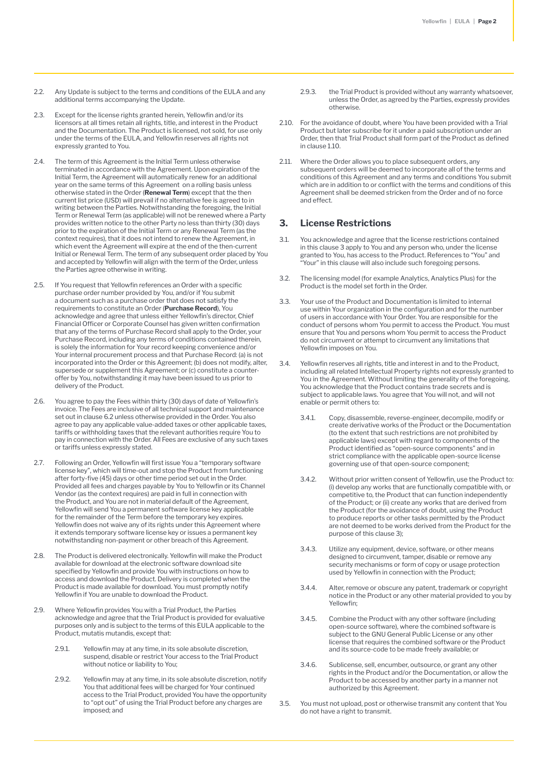- 2.2. Any Update is subject to the terms and conditions of the EULA and any additional terms accompanying the Update.
- 2.3. Except for the license rights granted herein, Yellowfin and/or its licensors at all times retain all rights, title, and interest in the Product and the Documentation. The Product is licensed, not sold, for use only under the terms of the EULA, and Yellowfin reserves all rights not expressly granted to You.
- 2.4. The term of this Agreement is the Initial Term unless otherwise terminated in accordance with the Agreement. Upon expiration of the Initial Term, the Agreement will automatically renew for an additional year on the same terms of this Agreement on a rolling basis unless otherwise stated in the Order (**Renewal Term**) except that the then current list price (USD) will prevail if no alternative fee is agreed to in writing between the Parties. Notwithstanding the foregoing, the Initial Term or Renewal Term (as applicable) will not be renewed where a Party provides written notice to the other Party no less than thirty (30) days prior to the expiration of the Initial Term or any Renewal Term (as the context requires), that it does not intend to renew the Agreement, in which event the Agreement will expire at the end of the then-current Initial or Renewal Term. The term of any subsequent order placed by You and accepted by Yellowfin will align with the term of the Order, unless the Parties agree otherwise in writing.
- 2.5. If You request that Yellowfin references an Order with a specific purchase order number provided by You, and/or if You submit a document such as a purchase order that does not satisfy the requirements to constitute an Order (**Purchase Record**), You acknowledge and agree that unless either Yellowfin's director, Chief Financial Officer or Corporate Counsel has given written confirmation that any of the terms of Purchase Record shall apply to the Order, your Purchase Record, including any terms of conditions contained therein, is solely the information for Your record keeping convenience and/or Your internal procurement process and that Purchase Record: (a) is not incorporated into the Order or this Agreement; (b) does not modify, alter, supersede or supplement this Agreement; or (c) constitute a counteroffer by You, notwithstanding it may have been issued to us prior to delivery of the Product.
- 2.6. You agree to pay the Fees within thirty (30) days of date of Yellowfin's invoice. The Fees are inclusive of all technical support and maintenance set out in clause 6.2 unless otherwise provided in the Order. You also agree to pay any applicable value-added taxes or other applicable taxes, tariffs or withholding taxes that the relevant authorities require You to pay in connection with the Order. All Fees are exclusive of any such taxes or tariffs unless expressly stated.
- 2.7. Following an Order, Yellowfin will first issue You a "temporary software license key", which will time-out and stop the Product from functioning after forty-five (45) days or other time period set out in the Order. Provided all fees and charges payable by You to Yellowfin or its Channel Vendor (as the context requires) are paid in full in connection with the Product, and You are not in material default of the Agreement, Yellowfin will send You a permanent software license key applicable for the remainder of the Term before the temporary key expires. Yellowfin does not waive any of its rights under this Agreement where it extends temporary software license key or issues a permanent key notwithstanding non-payment or other breach of this Agreement.
- 2.8. The Product is delivered electronically. Yellowfin will make the Product available for download at the electronic software download site specified by Yellowfin and provide You with instructions on how to access and download the Product. Delivery is completed when the Product is made available for download. You must promptly notify Yellowfin if You are unable to download the Product.
- 2.9. Where Yellowfin provides You with a Trial Product, the Parties acknowledge and agree that the Trial Product is provided for evaluative purposes only and is subject to the terms of this EULA applicable to the Product, mutatis mutandis, except that:
	- 2.9.1. Yellowfin may at any time, in its sole absolute discretion, suspend, disable or restrict Your access to the Trial Product without notice or liability to You;
	- 2.9.2. Yellowfin may at any time, in its sole absolute discretion, notify You that additional fees will be charged for Your continued access to the Trial Product, provided You have the opportunity to "opt out" of using the Trial Product before any charges are imposed; and
- 2.9.3. the Trial Product is provided without any warranty whatsoever, unless the Order, as agreed by the Parties, expressly provides otherwise.
- 2.10. For the avoidance of doubt, where You have been provided with a Trial Product but later subscribe for it under a paid subscription under an Order, then that Trial Product shall form part of the Product as defined in clause 1.10.
- 2.11. Where the Order allows you to place subsequent orders, any subsequent orders will be deemed to incorporate all of the terms and conditions of this Agreement and any terms and conditions You submit which are in addition to or conflict with the terms and conditions of this Agreement shall be deemed stricken from the Order and of no force and effect.

#### **3. License Restrictions**

- 3.1. You acknowledge and agree that the license restrictions contained in this clause 3 apply to You and any person who, under the license granted to You, has access to the Product. References to "You" and "Your" in this clause will also include such foregoing persons.
- 3.2. The licensing model (for example Analytics, Analytics Plus) for the Product is the model set forth in the Order.
- 3.3. Your use of the Product and Documentation is limited to internal use within Your organization in the configuration and for the number of users in accordance with Your Order. You are responsible for the conduct of persons whom You permit to access the Product. You must ensure that You and persons whom You permit to access the Product do not circumvent or attempt to circumvent any limitations that Yellowfin imposes on You.
- 3.4. Yellowfin reserves all rights, title and interest in and to the Product, including all related Intellectual Property rights not expressly granted to You in the Agreement. Without limiting the generality of the foregoing, You acknowledge that the Product contains trade secrets and is subject to applicable laws. You agree that You will not, and will not enable or permit others to:
	- 3.4.1. Copy, disassemble, reverse-engineer, decompile, modify or create derivative works of the Product or the Documentation (to the extent that such restrictions are not prohibited by applicable laws) except with regard to components of the Product identified as "open-source components" and in strict compliance with the applicable open-source license governing use of that open-source component;
	- 3.4.2. Without prior written consent of Yellowfin, use the Product to: (i) develop any works that are functionally compatible with, or competitive to, the Product that can function independently of the Product; or (ii) create any works that are derived from the Product (for the avoidance of doubt, using the Product to produce reports or other tasks permitted by the Product are not deemed to be works derived from the Product for the purpose of this clause 3);
	- 3.4.3. Utilize any equipment, device, software, or other means designed to circumvent, tamper, disable or remove any security mechanisms or form of copy or usage protection used by Yellowfin in connection with the Product;
	- 3.4.4. Alter, remove or obscure any patent, trademark or copyright notice in the Product or any other material provided to you by Yellowfin;
	- 3.4.5. Combine the Product with any other software (including open-source software), where the combined software is subject to the GNU General Public License or any other license that requires the combined software or the Product and its source-code to be made freely available; or
	- 3.4.6. Sublicense, sell, encumber, outsource, or grant any other rights in the Product and/or the Documentation, or allow the Product to be accessed by another party in a manner not authorized by this Agreement.
- 3.5. You must not upload, post or otherwise transmit any content that You do not have a right to transmit.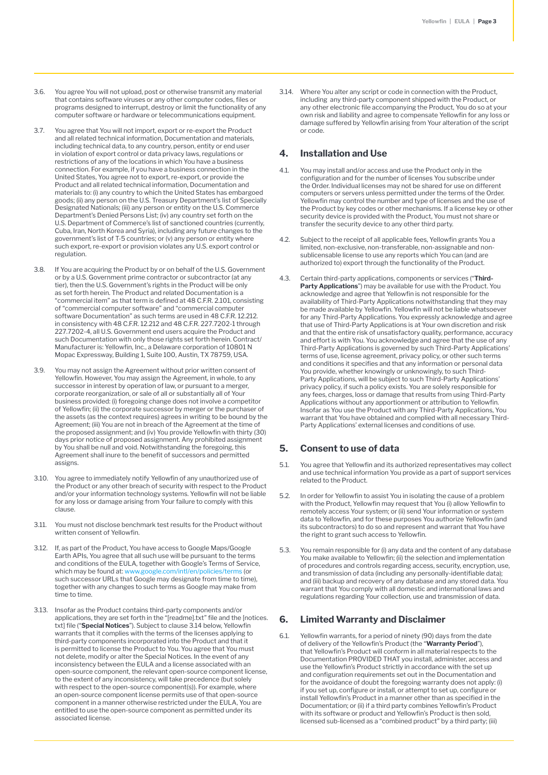- 3.6. You agree You will not upload, post or otherwise transmit any material that contains software viruses or any other computer codes, files or programs designed to interrupt, destroy or limit the functionality of any computer software or hardware or telecommunications equipment.
- 3.7. You agree that You will not import, export or re-export the Product and all related technical information, Documentation and materials, including technical data, to any country, person, entity or end user in violation of export control or data privacy laws, regulations or restrictions of any of the locations in which You have a business connection. For example, if you have a business connection in the United States, You agree not to export, re-export, or provide the Product and all related technical information, Documentation and materials to: (i) any country to which the United States has embargoed goods; (ii) any person on the U.S. Treasury Department's list of Specially Designated Nationals; (iii) any person or entity on the U.S. Commerce Department's Denied Persons List; (iv) any country set forth on the U.S. Department of Commerce's list of sanctioned countries (currently, Cuba, Iran, North Korea and Syria), including any future changes to the government's list of T-5 countries; or (v) any person or entity where such export, re-export or provision violates any U.S. export control or regulation.
- 3.8. If You are acquiring the Product by or on behalf of the U.S. Government or by a U.S. Government prime contractor or subcontractor (at any tier), then the U.S. Government's rights in the Product will be only as set forth herein. The Product and related Documentation is a "commercial item" as that term is defined at 48 C.F.R. 2.101, consisting of "commercial computer software" and "commercial computer software Documentation" as such terms are used in 48 C.F.R. 12.212. in consistency with 48 C.F.R. 12.212 and 48 C.F.R. 227.7202-1 through 227.7202-4, all U.S. Government end users acquire the Product and such Documentation with only those rights set forth herein. Contract/ Manufacturer is: Yellowfin, Inc., a Delaware corporation of 10801 N Mopac Expressway, Building 1, Suite 100, Austin, TX 78759, USA.
- 3.9. You may not assign the Agreement without prior written consent of Yellowfin. However, You may assign the Agreement, in whole, to any successor in interest by operation of law, or pursuant to a merger, corporate reorganization, or sale of all or substantially all of Your business provided: (i) foregoing change does not involve a competitor of Yellowfin; (ii) the corporate successor by merger or the purchaser of the assets (as the context requires) agrees in writing to be bound by the Agreement; (iii) You are not in breach of the Agreement at the time of the proposed assignment; and (iv) You provide Yellowfin with thirty (30) days prior notice of proposed assignment. Any prohibited assignment by You shall be null and void. Notwithstanding the foregoing, this Agreement shall inure to the benefit of successors and permitted assigns.
- 3.10. You agree to immediately notify Yellowfin of any unauthorized use of the Product or any other breach of security with respect to the Product and/or your information technology systems. Yellowfin will not be liable for any loss or damage arising from Your failure to comply with this clause.
- 3.11. You must not disclose benchmark test results for the Product without written consent of Yellowfin.
- 3.12. If, as part of the Product, You have access to Google Maps/Google Earth APIs, You agree that all such use will be pursuant to the terms and conditions of the EULA, together with Google's Terms of Service, which may be found at: [www.google.com/intl/en/policies/terms](http://www.google.com/intl/en/policies/terms) (or such successor URLs that Google may designate from time to time), together with any changes to such terms as Google may make from time to time.
- 3.13. Insofar as the Product contains third-party components and/or applications, they are set forth in the "[readme].txt" file and the [notices. txt] file ("**Special Notices**"). Subject to clause 3.14 below, Yellowfin warrants that it complies with the terms of the licenses applying to third-party components incorporated into the Product and that it is permitted to license the Product to You. You agree that You must not delete, modify or alter the Special Notices. In the event of any inconsistency between the EULA and a license associated with an open-source component, the relevant open-source component license, to the extent of any inconsistency, will take precedence (but solely with respect to the open-source component(s)). For example, where an open-source component license permits use of that open-source component in a manner otherwise restricted under the EULA, You are entitled to use the open-source component as permitted under its associated license.

3.14. Where You alter any script or code in connection with the Product, including any third-party component shipped with the Product, or any other electronic file accompanying the Product, You do so at your own risk and liability and agree to compensate Yellowfin for any loss or damage suffered by Yellowfin arising from Your alteration of the script or code.

#### **4. Installation and Use**

- 4.1. You may install and/or access and use the Product only in the configuration and for the number of licenses You subscribe under the Order. Individual licenses may not be shared for use on different computers or servers unless permitted under the terms of the Order. Yellowfin may control the number and type of licenses and the use of the Product by key codes or other mechanisms. If a license key or other security device is provided with the Product, You must not share or transfer the security device to any other third party.
- 4.2. Subject to the receipt of all applicable fees, Yellowfin grants You a limited, non-exclusive, non-transferable, non-assignable and nonsublicensable license to use any reports which You can (and are authorized to) export through the functionality of the Product.
- 4.3. Certain third-party applications, components or services ("**Third-Party Applications**") may be available for use with the Product. You acknowledge and agree that Yellowfin is not responsible for the availability of Third-Party Applications notwithstanding that they may be made available by Yellowfin. Yellowfin will not be liable whatsoever for any Third-Party Applications. You expressly acknowledge and agree that use of Third-Party Applications is at Your own discretion and risk and that the entire risk of unsatisfactory quality, performance, accuracy and effort is with You. You acknowledge and agree that the use of any Third-Party Applications is governed by such Third-Party Applications' terms of use, license agreement, privacy policy, or other such terms and conditions it specifies and that any information or personal data You provide, whether knowingly or unknowingly, to such Third-Party Applications, will be subject to such Third-Party Applications' privacy policy, if such a policy exists. You are solely responsible for any fees, charges, loss or damage that results from using Third-Party Applications without any apportionment or attribution to Yellowfin. Insofar as You use the Product with any Third-Party Applications, You warrant that You have obtained and complied with all necessary Third-Party Applications' external licenses and conditions of use.

#### **5. Consent to use of data**

- 5.1. You agree that Yellowfin and its authorized representatives may collect and use technical information You provide as a part of support services related to the Product.
- 5.2. In order for Yellowfin to assist You in isolating the cause of a problem with the Product, Yellowfin may request that You (i) allow Yellowfin to remotely access Your system; or (ii) send Your information or system data to Yellowfin, and for these purposes You authorize Yellowfin (and its subcontractors) to do so and represent and warrant that You have the right to grant such access to Yellowfin.
- 5.3. You remain responsible for (i) any data and the content of any database You make available to Yellowfin; (ii) the selection and implementation of procedures and controls regarding access, security, encryption, use, and transmission of data (including any personally-identifiable data); and (iii) backup and recovery of any database and any stored data. You warrant that You comply with all domestic and international laws and regulations regarding Your collection, use and transmission of data.

#### **6. Limited Warranty and Disclaimer**

6.1. Yellowfin warrants, for a period of ninety (90) days from the date of delivery of the Yellowfin's Product (the "**Warranty Period**"), that Yellowfin's Product will conform in all material respects to the Documentation PROVIDED THAT you install, administer, access and use the Yellowfin's Product strictly in accordance with the set up and configuration requirements set out in the Documentation and for the avoidance of doubt the foregoing warranty does not apply: (i) if you set up, configure or install, or attempt to set up, configure or install Yellowfin's Product in a manner other than as specified in the Documentation; or (ii) if a third party combines Yellowfin's Product with its software or product and Yellowfin's Product is then sold, licensed sub-licensed as a "combined product" by a third party; (iii)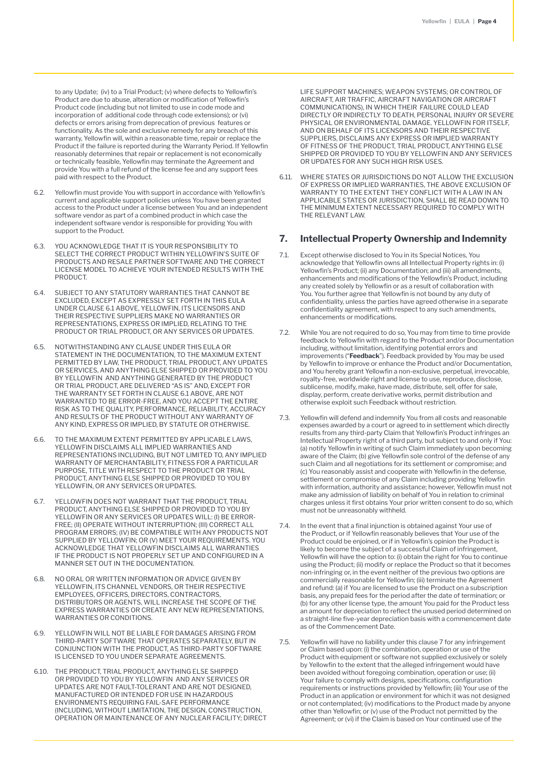to any Update; (iv) to a Trial Product; (v) where defects to Yellowfin's Product are due to abuse, alteration or modification of Yellowfin's Product code (including but not limited to use in code mode and incorporation of additional code through code extensions); or (vi) defects or errors arising from deprecation of previous features or functionality. As the sole and exclusive remedy for any breach of this warranty, Yellowfin will, within a reasonable time, repair or replace the Product if the failure is reported during the Warranty Period. If Yellowfin reasonably determines that repair or replacement is not economically or technically feasible, Yellowfin may terminate the Agreement and provide You with a full refund of the license fee and any support fees paid with respect to the Product.

- 6.2. Yellowfin must provide You with support in accordance with Yellowfin's current and applicable support policies unless You have been granted access to the Product under a license between You and an independent software vendor as part of a combined product in which case the independent software vendor is responsible for providing You with support to the Product.
- 6.3. YOU ACKNOWLEDGE THAT IT IS YOUR RESPONSIBILITY TO SELECT THE CORRECT PRODUCT WITHIN YELLOWFIN'S SUITE OF PRODUCTS AND RESALE PARTNER SOFTWARE AND THE CORRECT LICENSE MODEL TO ACHIEVE YOUR INTENDED RESULTS WITH THE PRODUCT.
- 6.4. SUBJECT TO ANY STATUTORY WARRANTIES THAT CANNOT BE EXCLUDED, EXCEPT AS EXPRESSLY SET FORTH IN THIS EULA UNDER CLAUSE 6.1 ABOVE, YELLOWFIN, ITS LICENSORS AND THEIR RESPECTIVE SUPPLIERS MAKE NO WARRANTIES OR REPRESENTATIONS, EXPRESS OR IMPLIED, RELATING TO THE PRODUCT OR TRIAL PRODUCT, OR ANY SERVICES OR UPDATES.
- 6.5. NOTWITHSTANDING ANY CLAUSE UNDER THIS EULA OR STATEMENT IN THE DOCUMENTATION, TO THE MAXIMUM EXTENT PERMITTED BY LAW, THE PRODUCT, TRIAL PRODUCT, ANY UPDATES OR SERVICES, AND ANYTHING ELSE SHIPPED OR PROVIDED TO YOU BY YELLOWFIN AND ANYTHING GENERATED BY THE PRODUCT OR TRIAL PRODUCT, ARE DELIVERED "AS IS" AND, EXCEPT FOR THE WARRANTY SET FORTH IN CLAUSE 6.1 ABOVE, ARE NOT WARRANTED TO BE ERROR-FREE, AND YOU ACCEPT THE ENTIRE RISK AS TO THE QUALITY, PERFORMANCE, RELIABILITY, ACCURACY AND RESULTS OF THE PRODUCT WITHOUT ANY WARRANTY OF ANY KIND, EXPRESS OR IMPLIED, BY STATUTE OR OTHERWISE.
- 6.6. TO THE MAXIMUM EXTENT PERMITTED BY APPLICABLE LAWS, YELLOWFIN DISCLAIMS ALL IMPLIED WARRANTIES AND REPRESENTATIONS INCLUDING, BUT NOT LIMITED TO, ANY IMPLIED WARRANTY OF MERCHANTABILITY, FITNESS FOR A PARTICULAR PURPOSE, TITLE WITH RESPECT TO THE PRODUCT OR TRIAL PRODUCT, ANYTHING ELSE SHIPPED OR PROVIDED TO YOU BY YELLOWFIN, OR ANY SERVICES OR UPDATES.
- 6.7. YELLOWFIN DOES NOT WARRANT THAT THE PRODUCT, TRIAL PRODUCT, ANYTHING ELSE SHIPPED OR PROVIDED TO YOU BY YELLOWFIN OR ANY SERVICES OR UPDATES WILL: (I) BE ERROR-FREE; (II) OPERATE WITHOUT INTERRUPTION; (III) CORRECT ALL PROGRAM ERRORS; (IV) BE COMPATIBLE WITH ANY PRODUCTS NOT SUPPLIED BY YELLOWFIN; OR (V) MEET YOUR REQUIREMENTS. YOU ACKNOWLEDGE THAT YELLOWFIN DISCLAIMS ALL WARRANTIES IF THE PRODUCT IS NOT PROPERLY SET UP AND CONFIGURED IN A MANNER SET OUT IN THE DOCUMENTATION.
- 6.8. NO ORAL OR WRITTEN INFORMATION OR ADVICE GIVEN BY YELLOWFIN, ITS CHANNEL VENDORS, OR THEIR RESPECTIVE EMPLOYEES, OFFICERS, DIRECTORS, CONTRACTORS, DISTRIBUTORS OR AGENTS, WILL INCREASE THE SCOPE OF THE EXPRESS WARRANTIES OR CREATE ANY NEW REPRESENTATIONS, WARRANTIES OR CONDITIONS.
- 6.9. YELLOWFIN WILL NOT BE LIABLE FOR DAMAGES ARISING FROM THIRD-PARTY SOFTWARE THAT OPERATES SEPARATELY, BUT IN CONJUNCTION WITH THE PRODUCT, AS THIRD-PARTY SOFTWARE IS LICENSED TO YOU UNDER SEPARATE AGREEMENTS.
- 6.10. THE PRODUCT, TRIAL PRODUCT, ANYTHING ELSE SHIPPED OR PROVIDED TO YOU BY YELLOWFIN AND ANY SERVICES OR UPDATES ARE NOT FAULT-TOLERANT AND ARE NOT DESIGNED, MANUFACTURED OR INTENDED FOR USE IN HAZARDOUS ENVIRONMENTS REQUIRING FAIL-SAFE PERFORMANCE (INCLUDING, WITHOUT LIMITATION, THE DESIGN, CONSTRUCTION, OPERATION OR MAINTENANCE OF ANY NUCLEAR FACILITY; DIRECT

LIFE SUPPORT MACHINES; WEAPON SYSTEMS; OR CONTROL OF AIRCRAFT, AIR TRAFFIC, AIRCRAFT NAVIGATION OR AIRCRAFT COMMUNICATIONS), IN WHICH THEIR FAILURE COULD LEAD DIRECTLY OR INDIRECTLY TO DEATH, PERSONAL INJURY OR SEVERE PHYSICAL OR ENVIRONMENTAL DAMAGE. YELLOWFIN FOR ITSELF, AND ON BEHALF OF ITS LICENSORS AND THEIR RESPECTIVE SUPPLIERS, DISCLAIMS ANY EXPRESS OR IMPLIED WARRANTY OF FITNESS OF THE PRODUCT, TRIAL PRODUCT, ANYTHING ELSE SHIPPED OR PROVIDED TO YOU BY YELLOWFIN AND ANY SERVICES OR UPDATES FOR ANY SUCH HIGH RISK USES.

6.11. WHERE STATES OR JURISDICTIONS DO NOT ALLOW THE EXCLUSION OF EXPRESS OR IMPLIED WARRANTIES, THE ABOVE EXCLUSION OF WARRANTY TO THE EXTENT THEY CONFLICT WITH A LAW IN AN APPLICABLE STATES OR JURISDICTION, SHALL BE READ DOWN TO THE MINIMUM EXTENT NECESSARY REQUIRED TO COMPLY WITH THE RELEVANT LAW.

## **7. Intellectual Property Ownership and Indemnity**

- 7.1. Except otherwise disclosed to You in its Special Notices, You acknowledge that Yellowfin owns all Intellectual Property rights in: (i) Yellowfin's Product; (ii) any Documentation; and (iii) all amendments, enhancements and modifications of the Yellowfin's Product, including any created solely by Yellowfin or as a result of collaboration with You. You further agree that Yellowfin is not bound by any duty of confidentiality, unless the parties have agreed otherwise in a separate confidentiality agreement, with respect to any such amendments, enhancements or modifications.
- 7.2. While You are not required to do so, You may from time to time provide feedback to Yellowfin with regard to the Product and/or Documentation including, without limitation, identifying potential errors and improvements ("**Feedback**"). Feedback provided by You may be used by Yellowfin to improve or enhance the Product and/or Documentation, and You hereby grant Yellowfin a non-exclusive, perpetual, irrevocable, royalty-free, worldwide right and license to use, reproduce, disclose, sublicense, modify, make, have made, distribute, sell, offer for sale, display, perform, create derivative works, permit distribution and otherwise exploit such Feedback without restriction.
- 7.3. Yellowfin will defend and indemnify You from all costs and reasonable expenses awarded by a court or agreed to in settlement which directly results from any third-party Claim that Yellowfin's Product infringes an Intellectual Property right of a third party, but subject to and only if You: (a) notify Yellowfin in writing of such Claim immediately upon becoming aware of the Claim; (b) give Yellowfin sole control of the defense of any such Claim and all negotiations for its settlement or compromise; and (c) You reasonably assist and cooperate with Yellowfin in the defense, settlement or compromise of any Claim including providing Yellowfin with information, authority and assistance; however, Yellowfin must not make any admission of liability on behalf of You in relation to criminal charges unless it first obtains Your prior written consent to do so, which must not be unreasonably withheld.
- 7.4. In the event that a final injunction is obtained against Your use of the Product, or if Yellowfin reasonably believes that Your use of the Product could be enjoined, or if in Yellowfin's opinion the Product is likely to become the subject of a successful Claim of infringement, Yellowfin will have the option to: (i) obtain the right for You to continue using the Product; (ii) modify or replace the Product so that it becomes non-infringing or, in the event neither of the previous two options are commercially reasonable for Yellowfin; (iii) terminate the Agreement and refund: (a) if You are licensed to use the Product on a subscription basis, any prepaid fees for the period after the date of termination; or (b) for any other license type, the amount You paid for the Product less an amount for depreciation to reflect the unused period determined on a straight-line five-year depreciation basis with a commencement date as of the Commencement Date.
- 7.5. Yellowfin will have no liability under this clause 7 for any infringement or Claim based upon: (i) the combination, operation or use of the Product with equipment or software not supplied exclusively or solely by Yellowfin to the extent that the alleged infringement would have been avoided without foregoing combination, operation or use; (ii) Your failure to comply with designs, specifications, configuration requirements or instructions provided by Yellowfin; (iii) Your use of the Product in an application or environment for which it was not designed or not contemplated; (iv) modifications to the Product made by anyone other than Yellowfin; or (v) use of the Product not permitted by the Agreement; or (vi) if the Claim is based on Your continued use of the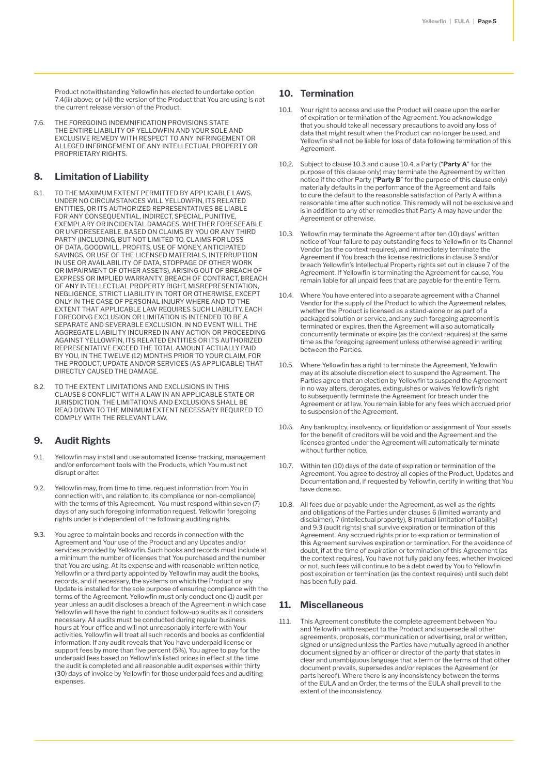Product notwithstanding Yellowfin has elected to undertake option 7.4(iii) above; or (vii) the version of the Product that You are using is not the current release version of the Product.

7.6. THE FOREGOING INDEMNIFICATION PROVISIONS STATE THE ENTIRE LIABILITY OF YELLOWFIN AND YOUR SOLE AND EXCLUSIVE REMEDY WITH RESPECT TO ANY INFRINGEMENT OR ALLEGED INFRINGEMENT OF ANY INTELLECTUAL PROPERTY OR PROPRIETARY RIGHTS.

### **8. Limitation of Liability**

- 8.1. TO THE MAXIMUM EXTENT PERMITTED BY APPLICABLE LAWS, UNDER NO CIRCUMSTANCES WILL YELLOWFIN, ITS RELATED ENTITIES, OR ITS AUTHORIZED REPRESENTATIVES BE LIABLE FOR ANY CONSEQUENTIAL, INDIRECT, SPECIAL, PUNITIVE, EXEMPLARY OR INCIDENTAL DAMAGES, WHETHER FORESEEABLE OR UNFORESEEABLE, BASED ON CLAIMS BY YOU OR ANY THIRD PARTY (INCLUDING, BUT NOT LIMITED TO, CLAIMS FOR LOSS OF DATA, GOODWILL, PROFITS, USE OF MONEY, ANTICIPATED SAVINGS, OR USE OF THE LICENSED MATERIALS, INTERRUPTION IN USE OR AVAILABILITY OF DATA, STOPPAGE OF OTHER WORK OR IMPAIRMENT OF OTHER ASSETS), ARISING OUT OF BREACH OF EXPRESS OR IMPLIED WARRANTY, BREACH OF CONTRACT, BREACH OF ANY INTELLECTUAL PROPERTY RIGHT, MISREPRESENTATION, NEGLIGENCE, STRICT LIABILITY IN TORT OR OTHERWISE, EXCEPT ONLY IN THE CASE OF PERSONAL INJURY WHERE AND TO THE EXTENT THAT APPLICABLE LAW REQUIRES SUCH LIABILITY. EACH FOREGOING EXCLUSION OR LIMITATION IS INTENDED TO BE A SEPARATE AND SEVERABLE EXCLUSION. IN NO EVENT WILL THE AGGREGATE LIABILITY INCURRED IN ANY ACTION OR PROCEEDING AGAINST YELLOWFIN, ITS RELATED ENTITIES OR ITS AUTHORIZED REPRESENTATIVE EXCEED THE TOTAL AMOUNT ACTUALLY PAID BY YOU, IN THE TWELVE (12) MONTHS PRIOR TO YOUR CLAIM, FOR THE PRODUCT, UPDATE AND/OR SERVICES (AS APPLICABLE) THAT DIRECTLY CAUSED THE DAMAGE.
- 8.2. TO THE EXTENT LIMITATIONS AND EXCLUSIONS IN THIS CLAUSE 8 CONFLICT WITH A LAW IN AN APPLICABLE STATE OR JURISDICTION, THE LIMITATIONS AND EXCLUSIONS SHALL BE READ DOWN TO THE MINIMUM EXTENT NECESSARY REQUIRED TO COMPLY WITH THE RELEVANT LAW.

#### **9. Audit Rights**

- 9.1. Yellowfin may install and use automated license tracking, management and/or enforcement tools with the Products, which You must not disrupt or alter.
- 9.2. Yellowfin may, from time to time, request information from You in connection with, and relation to, its compliance (or non-compliance) with the terms of this Agreement. You must respond within seven (7) days of any such foregoing information request. Yellowfin foregoing rights under is independent of the following auditing rights.
- 9.3. You agree to maintain books and records in connection with the Agreement and Your use of the Product and any Updates and/or services provided by Yellowfin. Such books and records must include at a minimum the number of licenses that You purchased and the number that You are using. At its expense and with reasonable written notice, Yellowfin or a third party appointed by Yellowfin may audit the books records, and if necessary, the systems on which the Product or any Update is installed for the sole purpose of ensuring compliance with the terms of the Agreement. Yellowfin must only conduct one (1) audit per year unless an audit discloses a breach of the Agreement in which case Yellowfin will have the right to conduct follow-up audits as it considers necessary. All audits must be conducted during regular business hours at Your office and will not unreasonably interfere with Your activities. Yellowfin will treat all such records and books as confidential information. If any audit reveals that You have underpaid license or support fees by more than five percent (5%), You agree to pay for the underpaid fees based on Yellowfin's listed prices in effect at the time the audit is completed and all reasonable audit expenses within thirty (30) days of invoice by Yellowfin for those underpaid fees and auditing expenses.

#### **10. Termination**

- 10.1. Your right to access and use the Product will cease upon the earlier of expiration or termination of the Agreement. You acknowledge that you should take all necessary precautions to avoid any loss of data that might result when the Product can no longer be used, and Yellowfin shall not be liable for loss of data following termination of this Agreement.
- 10.2. Subject to clause 10.3 and clause 10.4, a Party ("**Party A**" for the purpose of this clause only) may terminate the Agreement by written notice if the other Party ("**Party B**" for the purpose of this clause only) materially defaults in the performance of the Agreement and fails to cure the default to the reasonable satisfaction of Party A within a reasonable time after such notice. This remedy will not be exclusive and is in addition to any other remedies that Party A may have under the Agreement or otherwise.
- 10.3. Yellowfin may terminate the Agreement after ten (10) days' written notice of Your failure to pay outstanding fees to Yellowfin or its Channel Vendor (as the context requires), and immediately terminate the Agreement if You breach the license restrictions in clause 3 and/or breach Yellowfin's Intellectual Property rights set out in clause 7 of the Agreement. If Yellowfin is terminating the Agreement for cause, You remain liable for all unpaid fees that are payable for the entire Term.
- 10.4. Where You have entered into a separate agreement with a Channel Vendor for the supply of the Product to which the Agreement relates, whether the Product is licensed as a stand-alone or as part of a packaged solution or service, and any such foregoing agreement is terminated or expires, then the Agreement will also automatically concurrently terminate or expire (as the context requires) at the same time as the foregoing agreement unless otherwise agreed in writing between the Parties.
- 10.5. Where Yellowfin has a right to terminate the Agreement, Yellowfin may at its absolute discretion elect to suspend the Agreement. The Parties agree that an election by Yellowfin to suspend the Agreement in no way alters, derogates, extinguishes or waives Yellowfin's right to subsequently terminate the Agreement for breach under the Agreement or at law. You remain liable for any fees which accrued prior to suspension of the Agreement.
- 10.6. Any bankruptcy, insolvency, or liquidation or assignment of Your assets for the benefit of creditors will be void and the Agreement and the licenses granted under the Agreement will automatically terminate without further notice.
- 10.7. Within ten (10) days of the date of expiration or termination of the Agreement, You agree to destroy all copies of the Product, Updates and Documentation and, if requested by Yellowfin, certify in writing that You have done so.
- 10.8. All fees due or payable under the Agreement, as well as the rights and obligations of the Parties under clauses 6 (limited warranty and disclaimer), 7 (intellectual property), 8 (mutual limitation of liability) and 9.3 (audit rights) shall survive expiration or termination of this Agreement. Any accrued rights prior to expiration or termination of this Agreement survives expiration or termination. For the avoidance of doubt, if at the time of expiration or termination of this Agreement (as the context requires), You have not fully paid any fees, whether invoiced or not, such fees will continue to be a debt owed by You to Yellowfin post expiration or termination (as the context requires) until such debt has been fully paid.

### **11. Miscellaneous**

11.1. This Agreement constitute the complete agreement between You and Yellowfin with respect to the Product and supersede all other agreements, proposals, communication or advertising, oral or written, signed or unsigned unless the Parties have mutually agreed in another document signed by an officer or director of the party that states in clear and unambiguous language that a term or the terms of that other document prevails, supersedes and/or replaces the Agreement (or parts hereof). Where there is any inconsistency between the terms of the EULA and an Order, the terms of the EULA shall prevail to the extent of the inconsistency.